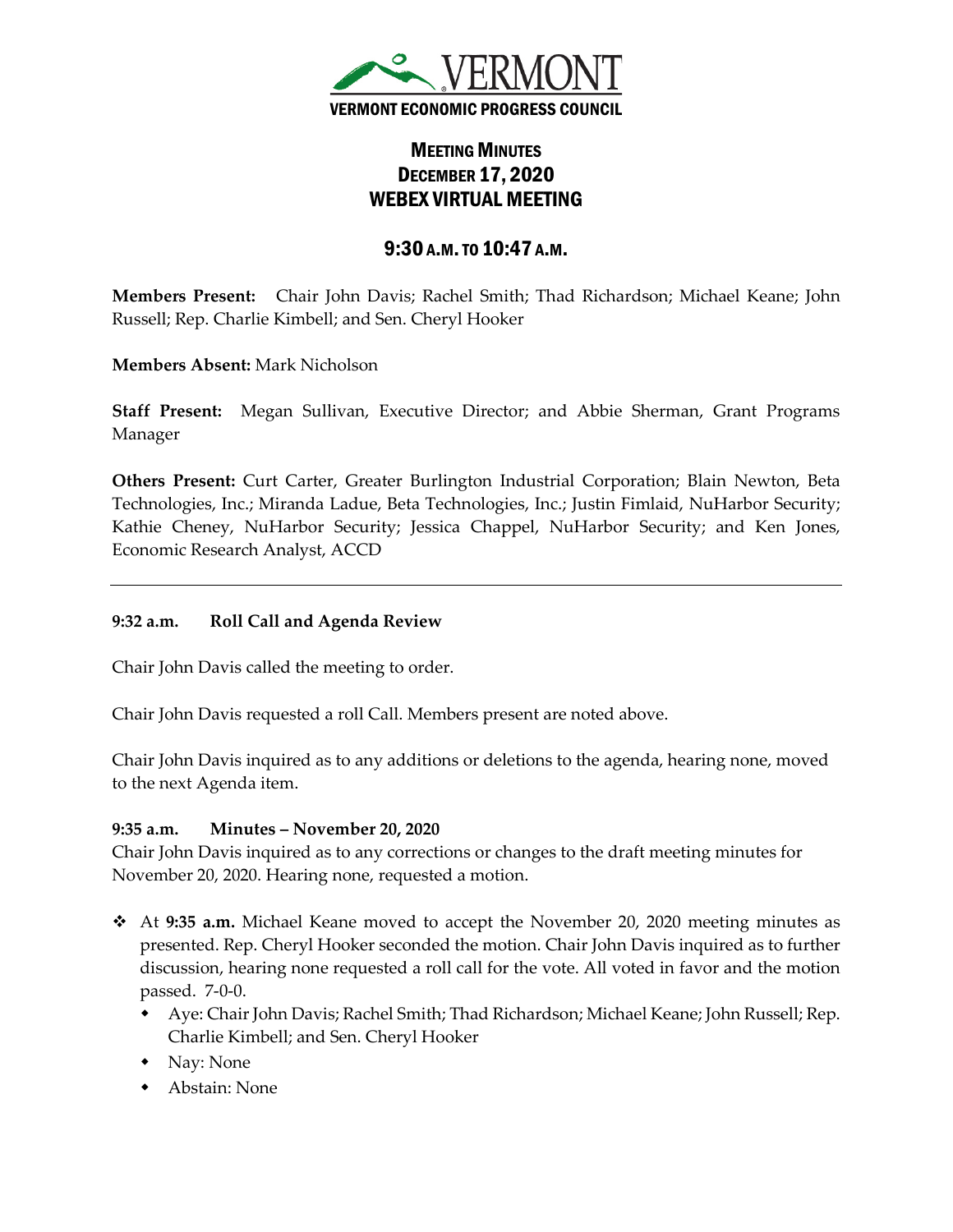

# MEETING MINUTES DECEMBER 17, 2020 WEBEX VIRTUAL MEETING

## 9:30 A.M.TO 10:47 A.M.

**Members Present:** Chair John Davis; Rachel Smith; Thad Richardson; Michael Keane; John Russell; Rep. Charlie Kimbell; and Sen. Cheryl Hooker

**Members Absent:** Mark Nicholson

**Staff Present:** Megan Sullivan, Executive Director; and Abbie Sherman, Grant Programs Manager

**Others Present:** Curt Carter, Greater Burlington Industrial Corporation; Blain Newton, Beta Technologies, Inc.; Miranda Ladue, Beta Technologies, Inc.; Justin Fimlaid, NuHarbor Security; Kathie Cheney, NuHarbor Security; Jessica Chappel, NuHarbor Security; and Ken Jones, Economic Research Analyst, ACCD

## **9:32 a.m. Roll Call and Agenda Review**

Chair John Davis called the meeting to order.

Chair John Davis requested a roll Call. Members present are noted above.

Chair John Davis inquired as to any additions or deletions to the agenda, hearing none, moved to the next Agenda item.

#### **9:35 a.m. Minutes – November 20, 2020**

Chair John Davis inquired as to any corrections or changes to the draft meeting minutes for November 20, 2020. Hearing none, requested a motion.

- At **9:35 a.m.** Michael Keane moved to accept the November 20, 2020 meeting minutes as presented. Rep. Cheryl Hooker seconded the motion. Chair John Davis inquired as to further discussion, hearing none requested a roll call for the vote. All voted in favor and the motion passed. 7-0-0.
	- Aye: Chair John Davis; Rachel Smith; Thad Richardson; Michael Keane; John Russell; Rep. Charlie Kimbell; and Sen. Cheryl Hooker
	- Nay: None
	- Abstain: None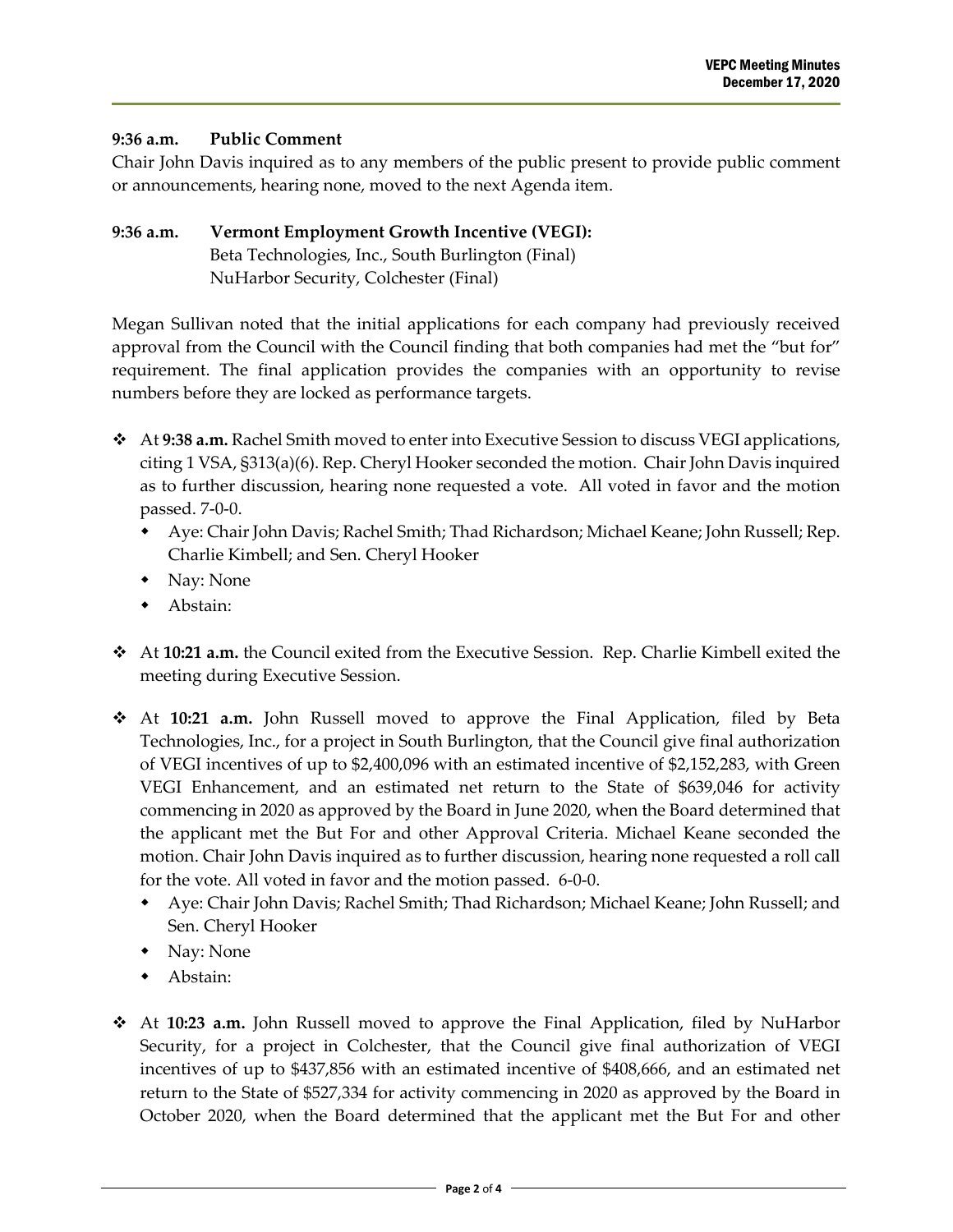#### **9:36 a.m. Public Comment**

Chair John Davis inquired as to any members of the public present to provide public comment or announcements, hearing none, moved to the next Agenda item.

## **9:36 a.m. Vermont Employment Growth Incentive (VEGI):** Beta Technologies, Inc., South Burlington (Final) NuHarbor Security, Colchester (Final)

Megan Sullivan noted that the initial applications for each company had previously received approval from the Council with the Council finding that both companies had met the "but for" requirement. The final application provides the companies with an opportunity to revise numbers before they are locked as performance targets.

- At **9:38 a.m.** Rachel Smith moved to enter into Executive Session to discuss VEGI applications, citing 1 VSA, §313(a)(6). Rep. Cheryl Hooker seconded the motion. Chair John Davis inquired as to further discussion, hearing none requested a vote. All voted in favor and the motion passed. 7-0-0.
	- Aye: Chair John Davis; Rachel Smith; Thad Richardson; Michael Keane; John Russell; Rep. Charlie Kimbell; and Sen. Cheryl Hooker
	- Nay: None
	- Abstain:
- At **10:21 a.m.** the Council exited from the Executive Session. Rep. Charlie Kimbell exited the meeting during Executive Session.
- At **10:21 a.m.** John Russell moved to approve the Final Application, filed by Beta Technologies, Inc., for a project in South Burlington, that the Council give final authorization of VEGI incentives of up to \$2,400,096 with an estimated incentive of \$2,152,283, with Green VEGI Enhancement, and an estimated net return to the State of \$639,046 for activity commencing in 2020 as approved by the Board in June 2020, when the Board determined that the applicant met the But For and other Approval Criteria. Michael Keane seconded the motion. Chair John Davis inquired as to further discussion, hearing none requested a roll call for the vote. All voted in favor and the motion passed. 6-0-0.
	- Aye: Chair John Davis; Rachel Smith; Thad Richardson; Michael Keane; John Russell; and Sen. Cheryl Hooker
	- Nay: None
	- Abstain:
- At **10:23 a.m.** John Russell moved to approve the Final Application, filed by NuHarbor Security, for a project in Colchester, that the Council give final authorization of VEGI incentives of up to \$437,856 with an estimated incentive of \$408,666, and an estimated net return to the State of \$527,334 for activity commencing in 2020 as approved by the Board in October 2020, when the Board determined that the applicant met the But For and other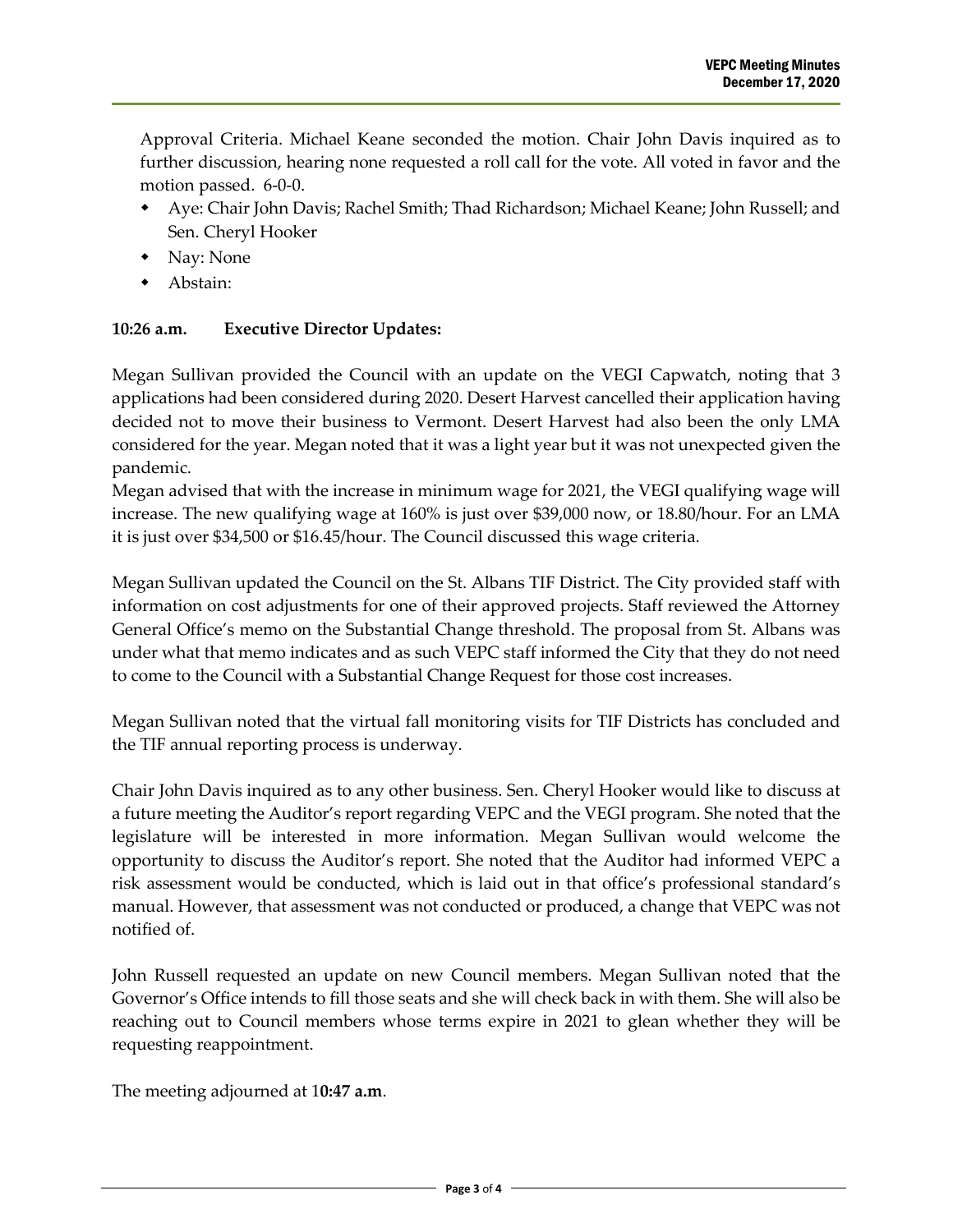Approval Criteria. Michael Keane seconded the motion. Chair John Davis inquired as to further discussion, hearing none requested a roll call for the vote. All voted in favor and the motion passed. 6-0-0.

- Aye: Chair John Davis; Rachel Smith; Thad Richardson; Michael Keane; John Russell; and Sen. Cheryl Hooker
- Nay: None
- Abstain:

## **10:26 a.m. Executive Director Updates:**

Megan Sullivan provided the Council with an update on the VEGI Capwatch, noting that 3 applications had been considered during 2020. Desert Harvest cancelled their application having decided not to move their business to Vermont. Desert Harvest had also been the only LMA considered for the year. Megan noted that it was a light year but it was not unexpected given the pandemic.

Megan advised that with the increase in minimum wage for 2021, the VEGI qualifying wage will increase. The new qualifying wage at 160% is just over \$39,000 now, or 18.80/hour. For an LMA it is just over \$34,500 or \$16.45/hour. The Council discussed this wage criteria.

Megan Sullivan updated the Council on the St. Albans TIF District. The City provided staff with information on cost adjustments for one of their approved projects. Staff reviewed the Attorney General Office's memo on the Substantial Change threshold. The proposal from St. Albans was under what that memo indicates and as such VEPC staff informed the City that they do not need to come to the Council with a Substantial Change Request for those cost increases.

Megan Sullivan noted that the virtual fall monitoring visits for TIF Districts has concluded and the TIF annual reporting process is underway.

Chair John Davis inquired as to any other business. Sen. Cheryl Hooker would like to discuss at a future meeting the Auditor's report regarding VEPC and the VEGI program. She noted that the legislature will be interested in more information. Megan Sullivan would welcome the opportunity to discuss the Auditor's report. She noted that the Auditor had informed VEPC a risk assessment would be conducted, which is laid out in that office's professional standard's manual. However, that assessment was not conducted or produced, a change that VEPC was not notified of.

John Russell requested an update on new Council members. Megan Sullivan noted that the Governor's Office intends to fill those seats and she will check back in with them. She will also be reaching out to Council members whose terms expire in 2021 to glean whether they will be requesting reappointment.

The meeting adjourned at 1**0:47 a.m**.